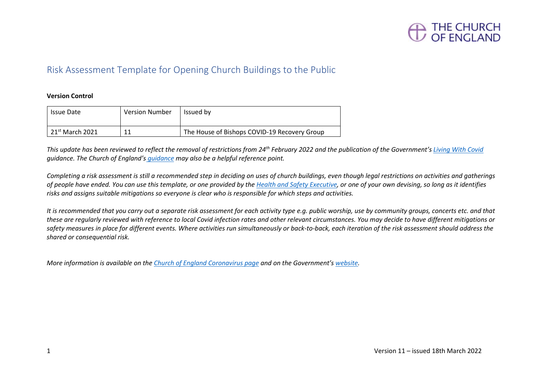

## Risk Assessment Template for Opening Church Buildings to the Public

### **Version Control**

| <b>Issue Date</b>                   | <b>Version Number</b> | Issued by                                    |
|-------------------------------------|-----------------------|----------------------------------------------|
| $\vert$ 21 <sup>st</sup> March 2021 |                       | The House of Bishops COVID-19 Recovery Group |

*This update has been reviewed to reflect the removal of restrictions from 24th February 2022 and the publication of the Government's [Living With Covid](https://www.gov.uk/government/publications/covid-19-response-living-with-covid-19) guidance. The Church of England's [guidance](https://www.churchofengland.org/media/24767) may also be a helpful reference point.*

*Completing a risk assessment is still a recommended step in deciding on uses of church buildings, even though legal restrictions on activities and gatherings of people have ended. You can use this template, or one provided by the [Health and Safety Executive,](https://www.hse.gov.uk/simple-health-safety/risk/risk-assessment-template-and-examples.htm) or one of your own devising, so long as it identifies risks and assigns suitable mitigations so everyone is clear who is responsible for which steps and activities.*

*It is recommended that you carry out a separate risk assessment for each activity type e.g. public worship, use by community groups, concerts etc. and that these are regularly reviewed with reference to local Covid infection rates and other relevant circumstances. You may decide to have different mitigations or safety measures in place for different events. Where activities run simultaneously or back-to-back, each iteration of the risk assessment should address the shared or consequential risk.*

*More information is available on the [Church of England Coronavirus page](https://www.churchofengland.org/resources/coronavirus-covid-19-guidance) and on the Government's [website.](https://www.gov.uk/guidance/covid-19-coronavirus-restrictions-what-you-can-and-cannot-do)*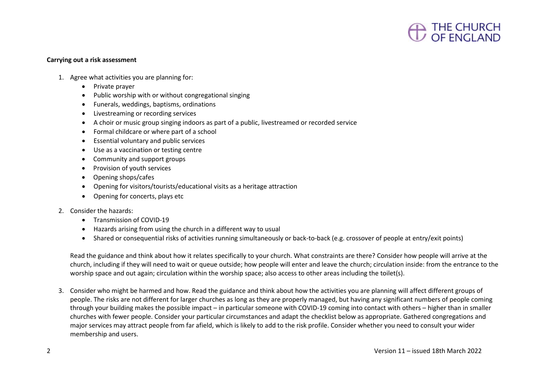

#### **Carrying out a risk assessment**

- 1. Agree what activities you are planning for:
	- Private prayer
	- Public worship with or without congregational singing
	- Funerals, weddings, baptisms, ordinations
	- Livestreaming or recording services
	- A choir or music group singing indoors as part of a public, livestreamed or recorded service
	- Formal childcare or where part of a school
	- Essential voluntary and public services
	- Use as a vaccination or testing centre
	- Community and support groups
	- Provision of youth services
	- Opening shops/cafes
	- Opening for visitors/tourists/educational visits as a heritage attraction
	- Opening for concerts, plays etc
- 2. Consider the hazards:
	- Transmission of COVID-19
	- Hazards arising from using the church in a different way to usual
	- Shared or consequential risks of activities running simultaneously or back-to-back (e.g. crossover of people at entry/exit points)

Read the guidance and think about how it relates specifically to your church. What constraints are there? Consider how people will arrive at the church, including if they will need to wait or queue outside; how people will enter and leave the church; circulation inside: from the entrance to the worship space and out again; circulation within the worship space; also access to other areas including the toilet(s).

3. Consider who might be harmed and how. Read the guidance and think about how the activities you are planning will affect different groups of people. The risks are not different for larger churches as long as they are properly managed, but having any significant numbers of people coming through your building makes the possible impact – in particular someone with COVID-19 coming into contact with others – higher than in smaller churches with fewer people. Consider your particular circumstances and adapt the checklist below as appropriate. Gathered congregations and major services may attract people from far afield, which is likely to add to the risk profile. Consider whether you need to consult your wider membership and users.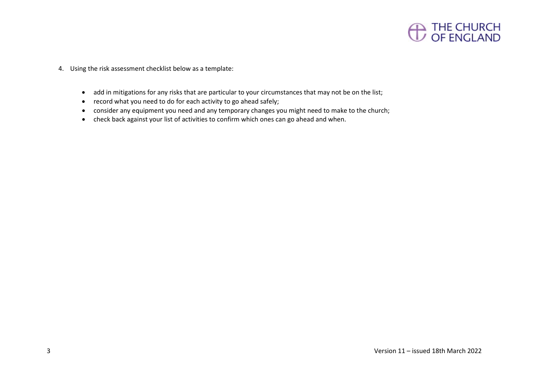

- 4. Using the risk assessment checklist below as a template:
	- add in mitigations for any risks that are particular to your circumstances that may not be on the list;
	- record what you need to do for each activity to go ahead safely;
	- consider any equipment you need and any temporary changes you might need to make to the church;
	- check back against your list of activities to confirm which ones can go ahead and when.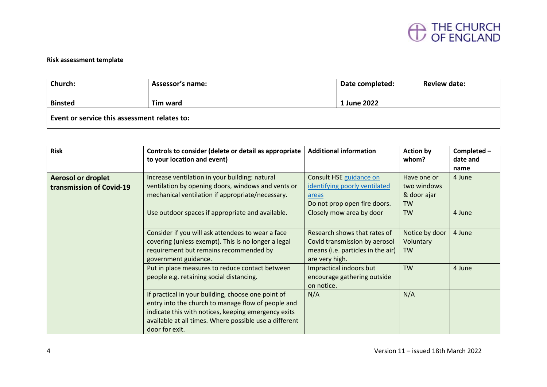

### **Risk assessment template**

| Church:                                      | <b>Assessor's name:</b> | Date completed: | <b>Review date:</b> |
|----------------------------------------------|-------------------------|-----------------|---------------------|
| <b>Binsted</b>                               | Tim ward                | 1 June 2022     |                     |
| Event or service this assessment relates to: |                         |                 |                     |

| <b>Risk</b>                                           | Controls to consider (delete or detail as appropriate<br>to your location and event)                                                                                                                                                        | <b>Additional information</b>                                                                                        | <b>Action by</b><br>whom?                              | Completed -<br>date and<br>name |
|-------------------------------------------------------|---------------------------------------------------------------------------------------------------------------------------------------------------------------------------------------------------------------------------------------------|----------------------------------------------------------------------------------------------------------------------|--------------------------------------------------------|---------------------------------|
| <b>Aerosol or droplet</b><br>transmission of Covid-19 | Increase ventilation in your building: natural<br>ventilation by opening doors, windows and vents or<br>mechanical ventilation if appropriate/necessary.                                                                                    | Consult HSE guidance on<br>identifying poorly ventilated<br>areas<br>Do not prop open fire doors.                    | Have one or<br>two windows<br>& door ajar<br><b>TW</b> | 4 June                          |
|                                                       | Use outdoor spaces if appropriate and available.                                                                                                                                                                                            | Closely mow area by door                                                                                             | <b>TW</b>                                              | 4 June                          |
|                                                       | Consider if you will ask attendees to wear a face<br>covering (unless exempt). This is no longer a legal<br>requirement but remains recommended by<br>government guidance.                                                                  | Research shows that rates of<br>Covid transmission by aerosol<br>means (i.e. particles in the air)<br>are very high. | Notice by door<br>Voluntary<br><b>TW</b>               | 4 June                          |
|                                                       | Put in place measures to reduce contact between<br>people e.g. retaining social distancing.                                                                                                                                                 | Impractical indoors but<br>encourage gathering outside<br>on notice.                                                 | <b>TW</b>                                              | 4 June                          |
|                                                       | If practical in your building, choose one point of<br>entry into the church to manage flow of people and<br>indicate this with notices, keeping emergency exits<br>available at all times. Where possible use a different<br>door for exit. | N/A                                                                                                                  | N/A                                                    |                                 |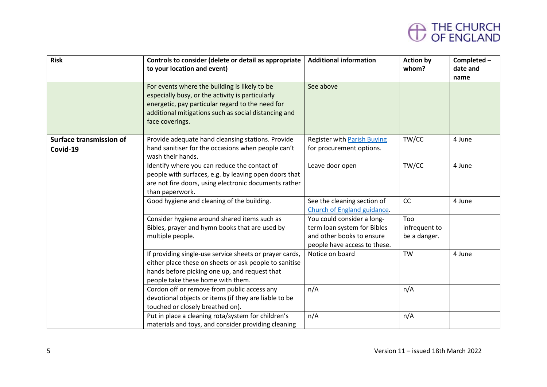# THE CHURCH<br>OF ENGLAND

| <b>Risk</b>                                | Controls to consider (delete or detail as appropriate<br>to your location and event)                                                                                                                                             | <b>Additional information</b>                                                                                          | <b>Action by</b><br>whom?            | Completed -<br>date and |
|--------------------------------------------|----------------------------------------------------------------------------------------------------------------------------------------------------------------------------------------------------------------------------------|------------------------------------------------------------------------------------------------------------------------|--------------------------------------|-------------------------|
|                                            | For events where the building is likely to be<br>especially busy, or the activity is particularly<br>energetic, pay particular regard to the need for<br>additional mitigations such as social distancing and<br>face coverings. | See above                                                                                                              |                                      | name                    |
| <b>Surface transmission of</b><br>Covid-19 | Provide adequate hand cleansing stations. Provide<br>hand sanitiser for the occasions when people can't<br>wash their hands.                                                                                                     | <b>Register with Parish Buying</b><br>for procurement options.                                                         | TW/CC                                | 4 June                  |
|                                            | Identify where you can reduce the contact of<br>people with surfaces, e.g. by leaving open doors that<br>are not fire doors, using electronic documents rather<br>than paperwork.                                                | Leave door open                                                                                                        | TW/CC                                | 4 June                  |
|                                            | Good hygiene and cleaning of the building.                                                                                                                                                                                       | See the cleaning section of<br>Church of England guidance.                                                             | CC                                   | 4 June                  |
|                                            | Consider hygiene around shared items such as<br>Bibles, prayer and hymn books that are used by<br>multiple people.                                                                                                               | You could consider a long-<br>term loan system for Bibles<br>and other books to ensure<br>people have access to these. | Too<br>infrequent to<br>be a danger. |                         |
|                                            | If providing single-use service sheets or prayer cards,<br>either place these on sheets or ask people to sanitise<br>hands before picking one up, and request that<br>people take these home with them.                          | Notice on board                                                                                                        | <b>TW</b>                            | 4 June                  |
|                                            | Cordon off or remove from public access any<br>devotional objects or items (if they are liable to be<br>touched or closely breathed on).                                                                                         | n/A                                                                                                                    | n/A                                  |                         |
|                                            | Put in place a cleaning rota/system for children's<br>materials and toys, and consider providing cleaning                                                                                                                        | n/A                                                                                                                    | n/A                                  |                         |